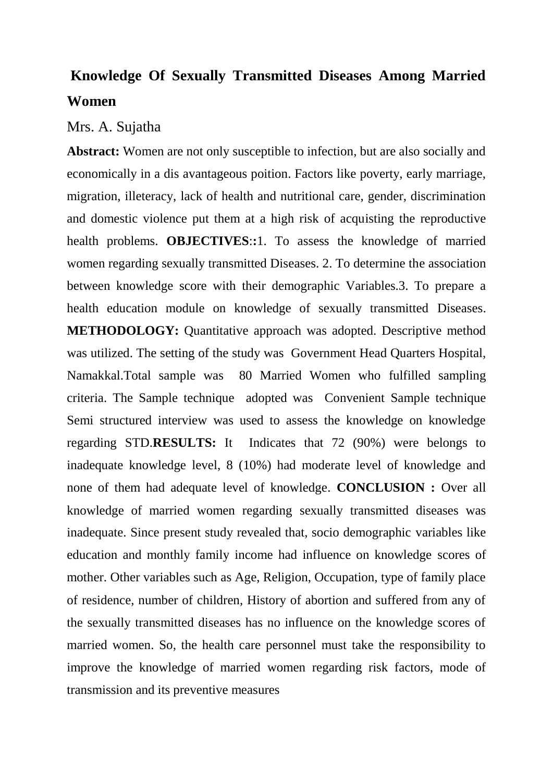## **Knowledge Of Sexually Transmitted Diseases Among Married Women**

## Mrs. A. Sujatha

**Abstract:** Women are not only susceptible to infection, but are also socially and economically in a dis avantageous poition. Factors like poverty, early marriage, migration, illeteracy, lack of health and nutritional care, gender, discrimination and domestic violence put them at a high risk of acquisting the reproductive health problems. **OBJECTIVES**:**:**1. To assess the knowledge of married women regarding sexually transmitted Diseases. 2. To determine the association between knowledge score with their demographic Variables.3. To prepare a health education module on knowledge of sexually transmitted Diseases. **METHODOLOGY:** Quantitative approach was adopted. Descriptive method was utilized. The setting of the study was Government Head Quarters Hospital, Namakkal.Total sample was 80 Married Women who fulfilled sampling criteria. The Sample technique adopted was Convenient Sample technique Semi structured interview was used to assess the knowledge on knowledge regarding STD.**RESULTS:** It Indicates that 72 (90%) were belongs to inadequate knowledge level, 8 (10%) had moderate level of knowledge and none of them had adequate level of knowledge. **CONCLUSION :** Over all knowledge of married women regarding sexually transmitted diseases was inadequate. Since present study revealed that, socio demographic variables like education and monthly family income had influence on knowledge scores of mother. Other variables such as Age, Religion, Occupation, type of family place of residence, number of children, History of abortion and suffered from any of the sexually transmitted diseases has no influence on the knowledge scores of married women. So, the health care personnel must take the responsibility to improve the knowledge of married women regarding risk factors, mode of transmission and its preventive measures